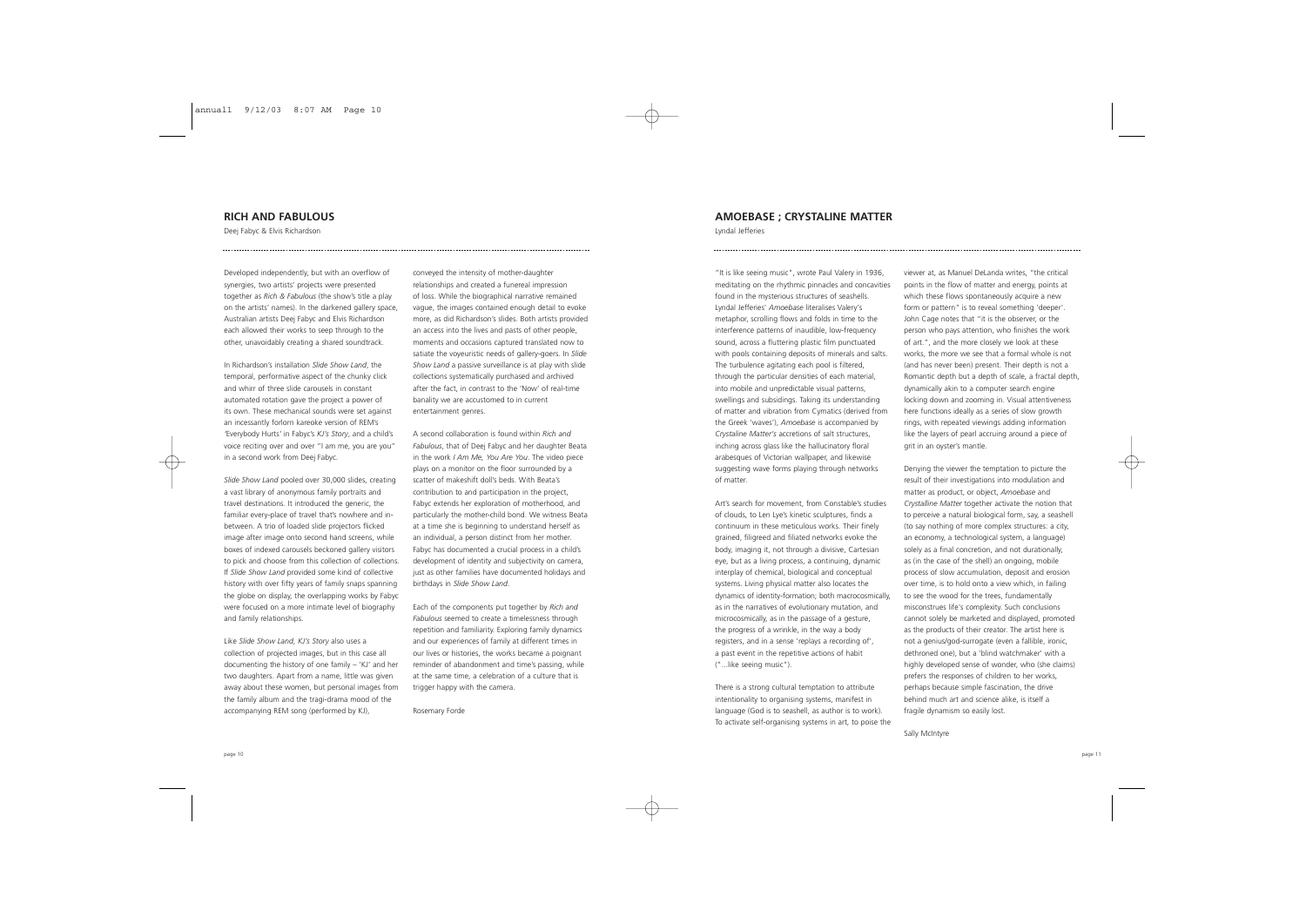## **RICH AND FABULOUS**

Deej Fabyc & Elvis Richardson

Developed independently, but with an overflow of synergies, two artists' projects were presented together as *Rich & Fabulous* (the show's title a play on the artists' names). In the darkened gallery space, Australian artists Deej Fabyc and Elvis Richardson each allowed their works to seep through to the other, unavoidably creating a shared soundtrack.

In Richardson's installation *Slide Show Land*, the temporal, performative aspect of the chunky click and whirr of three slide carousels in constant automated rotation gave the project a power of its own. These mechanical sounds were set against an incessantly forlorn kareoke version of REM's *'*Everybody Hurts*'* in Fabyc's *KJ's Story*, and a child's voice reciting over and over "I am me, you are you" in a second work from Deej Fabyc.

*Slide Show Land* pooled over 30,000 slides, creating a vast library of anonymous family portraits and travel destinations. It introduced the generic, the familiar every-place of travel that's nowhere and inbetween. A trio of loaded slide projectors flicked image after image onto second hand screens, while boxes of indexed carousels beckoned gallery visitors to pick and choose from this collection of collections. If *Slide Show Land* provided some kind of collective history with over fifty years of family snaps spanning the globe on display, the overlapping works by Fabyc were focused on a more intimate level of biography and family relationships.

Like *Slide Show Land*, *KJ's Story* also uses a collection of projected images, but in this case all documenting the history of one family – 'KJ' and her two daughters. Apart from a name, little was given away about these women, but personal images from the family album and the tragi-drama mood of the accompanying REM song (performed by KJ),

conveyed the intensity of mother-daughter relationships and created a funereal impression of loss. While the biographical narrative remained vague, the images contained enough detail to evoke more, as did Richardson's slides. Both artists provided an access into the lives and pasts of other people, moments and occasions captured translated now to satiate the voyeuristic needs of gallery-goers. In *Slide Show Land* a passive surveillance is at play with slide collections systematically purchased and archived after the fact, in contrast to the 'Now' of real-time banality we are accustomed to in current entertainment genres.

A second collaboration is found within *Rich and Fabulous*, that of Deej Fabyc and her daughter Beata in the work *I Am Me, You Are You*. The video piece plays on a monitor on the floor surrounded by a scatter of makeshift doll's beds. With Beata's contribution to and participation in the project, Fabyc extends her exploration of motherhood, and particularly the mother-child bond. We witness Beata at a time she is beginning to understand herself as an individual, a person distinct from her mother. Fabyc has documented a crucial process in a child's development of identity and subjectivity on camera, just as other families have documented holidays and birthdays in *Slide Show Land*.

Each of the components put together by *Rich and Fabulous* seemed to create a timelessness through repetition and familiarity. Exploring family dynamics and our experiences of family at different times in our lives or histories, the works became a poignant reminder of abandonment and time's passing, while at the same time, a celebration of a culture that is trigger happy with the camera.

Rosemary Forde